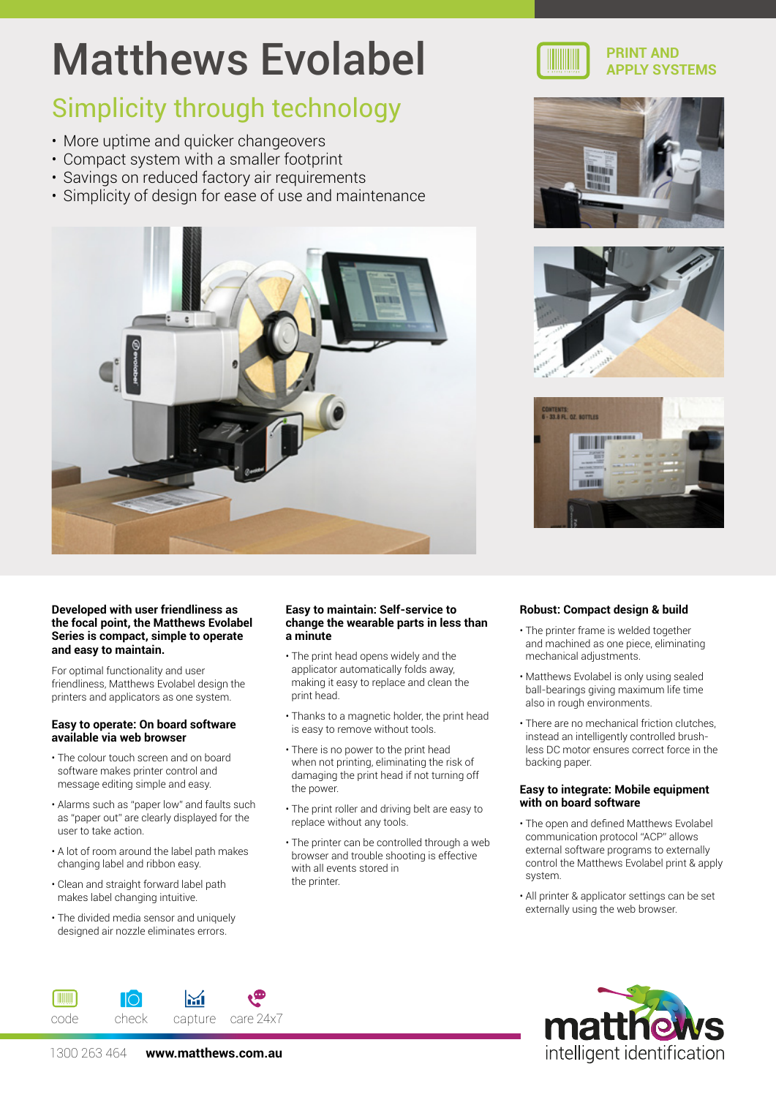# Matthews Evolabel

### Simplicity through technology

- More uptime and quicker changeovers
- Compact system with a smaller footprint
- Savings on reduced factory air requirements
- Simplicity of design for ease of use and maintenance











#### **Developed with user friendliness as the focal point, the Matthews Evolabel Series is compact, simple to operate and easy to maintain.**

For optimal functionality and user friendliness, Matthews Evolabel design the printers and applicators as one system.

#### **Easy to operate: On board software available via web browser**

- The colour touch screen and on board software makes printer control and message editing simple and easy.
- Alarms such as "paper low" and faults such as "paper out" are clearly displayed for the user to take action.
- A lot of room around the label path makes changing label and ribbon easy.
- Clean and straight forward label path makes label changing intuitive.
- The divided media sensor and uniquely designed air nozzle eliminates errors.

**THE REAL** 

#### **Easy to maintain: Self-service to change the wearable parts in less than a minute**

- The print head opens widely and the applicator automatically folds away, making it easy to replace and clean the print head.
- Thanks to a magnetic holder, the print head is easy to remove without tools.
- There is no power to the print head when not printing, eliminating the risk of damaging the print head if not turning off the power.
- The print roller and driving belt are easy to replace without any tools.
- The printer can be controlled through a web browser and trouble shooting is effective with all events stored in the printer.

#### **Robust: Compact design & build**

- The printer frame is welded together and machined as one piece, eliminating mechanical adjustments.
- Matthews Evolabel is only using sealed ball-bearings giving maximum life time also in rough environments.
- There are no mechanical friction clutches, instead an intelligently controlled brushless DC motor ensures correct force in the backing paper.

#### **Easy to integrate: Mobile equipment with on board software**

- The open and defined Matthews Evolabel communication protocol "ACP" allows external software programs to externally control the Matthews Evolabel print & apply system.
- All printer & applicator settings can be set externally using the web browser.



1300 263 464 **www.matthews.com.au**

code check capture care24x7